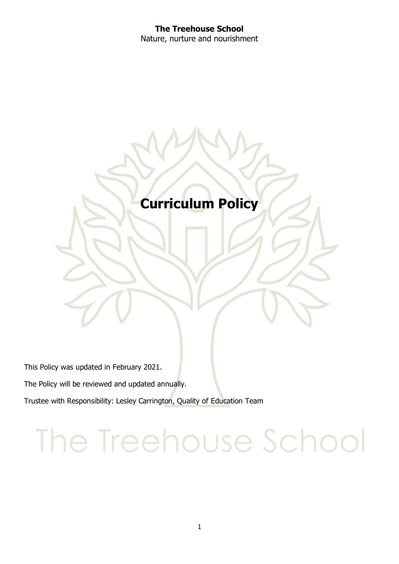#### **The Treehouse School** Nature, nurture and nourishment

### **Curriculum Policy**

This Policy was updated in February 2021.

The Policy will be reviewed and updated annually.

Trustee with Responsibility: Lesley Carrington, Quality of Education Team

## The Treehouse School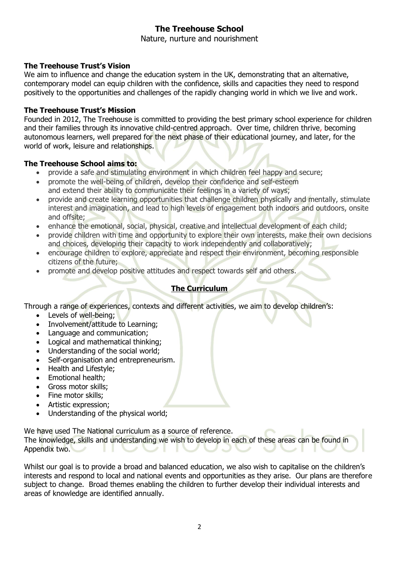#### **The Treehouse School**

Nature, nurture and nourishment

#### **The Treehouse Trust's Vision**

We aim to influence and change the education system in the UK, demonstrating that an alternative, contemporary model can equip children with the confidence, skills and capacities they need to respond positively to the opportunities and challenges of the rapidly changing world in which we live and work.

#### **The Treehouse Trust's Mission**

Founded in 2012, The Treehouse is committed to providing the best primary school experience for children and their families through its innovative child-centred approach. Over time, children thrive, becoming autonomous learners, well prepared for the next phase of their educational journey, and later, for the world of work, leisure and relationships.

#### **The Treehouse School aims to:**

- provide a safe and stimulating environment in which children feel happy and secure;
- promote the well-being of children, develop their confidence and self-esteem and extend their ability to communicate their feelings in a variety of ways;
- provide and create learning opportunities that challenge children physically and mentally, stimulate interest and imagination, and lead to high levels of engagement both indoors and outdoors, onsite and offsite;
- enhance the emotional, social, physical, creative and intellectual development of each child;
- provide children with time and opportunity to explore their own interests, make their own decisions and choices, developing their capacity to work independently and collaboratively;
- encourage children to explore, appreciate and respect their environment, becoming responsible citizens of the future;
- promote and develop positive attitudes and respect towards self and others.

#### **The Curriculum**

Through a range of experiences, contexts and different activities, we aim to develop children's:

- Levels of well-being;
- Involvement/attitude to Learning;
- Language and communication;
- Logical and mathematical thinking;
- Understanding of the social world;
- Self-organisation and entrepreneurism.
- Health and Lifestyle:
- Emotional health;
- Gross motor skills;
- Fine motor skills;
- Artistic expression;
- Understanding of the physical world:

We have used The National curriculum as a source of reference.

The knowledge, skills and understanding we wish to develop in each of these areas can be found in Appendix two.

Whilst our goal is to provide a broad and balanced education, we also wish to capitalise on the children's interests and respond to local and national events and opportunities as they arise. Our plans are therefore subject to change. Broad themes enabling the children to further develop their individual interests and areas of knowledge are identified annually.